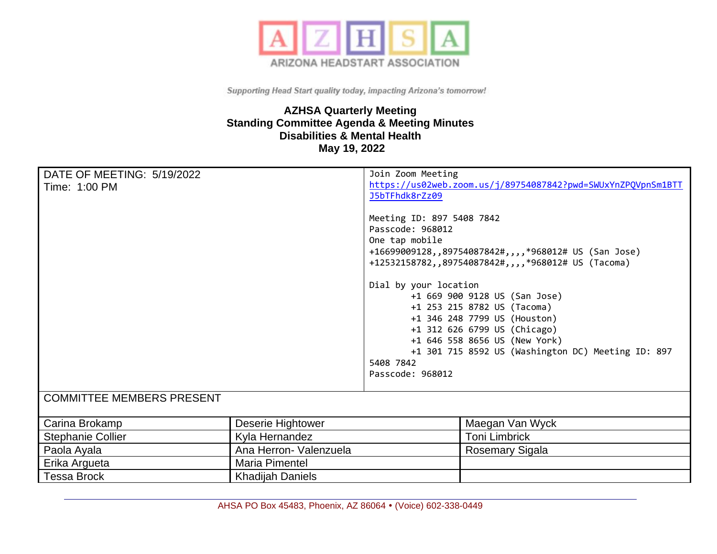

## **AZHSA Quarterly Meeting Standing Committee Agenda & Meeting Minutes Disabilities & Mental Health May 19, 2022**

| DATE OF MEETING: 5/19/2022       |                         | Join Zoom Meeting                                            |                                                               |
|----------------------------------|-------------------------|--------------------------------------------------------------|---------------------------------------------------------------|
| Time: 1:00 PM                    |                         | https://us02web.zoom.us/j/89754087842?pwd=SWUxYnZPQVpnSm1BTT |                                                               |
|                                  |                         | J5bTFhdk8rZz09                                               |                                                               |
|                                  |                         | Meeting ID: 897 5408 7842                                    |                                                               |
|                                  |                         | Passcode: 968012                                             |                                                               |
|                                  |                         | One tap mobile                                               |                                                               |
|                                  |                         |                                                              | +16699009128,,89754087842#,,,,*968012# US (San Jose)          |
|                                  |                         |                                                              | +12532158782,,89754087842#,,,,*968012# US (Tacoma)            |
|                                  |                         | Dial by your location                                        |                                                               |
|                                  |                         |                                                              | +1 669 900 9128 US (San Jose)                                 |
|                                  |                         |                                                              | +1 253 215 8782 US (Tacoma)                                   |
|                                  |                         |                                                              | +1 346 248 7799 US (Houston)                                  |
|                                  |                         |                                                              | +1 312 626 6799 US (Chicago)<br>+1 646 558 8656 US (New York) |
|                                  |                         |                                                              | +1 301 715 8592 US (Washington DC) Meeting ID: 897            |
|                                  |                         | 5408 7842                                                    |                                                               |
|                                  |                         | Passcode: 968012                                             |                                                               |
| <b>COMMITTEE MEMBERS PRESENT</b> |                         |                                                              |                                                               |
|                                  |                         |                                                              |                                                               |
| Carina Brokamp                   | Deserie Hightower       |                                                              | Maegan Van Wyck                                               |
| <b>Stephanie Collier</b>         | Kyla Hernandez          |                                                              | <b>Toni Limbrick</b>                                          |
| Paola Ayala                      | Ana Herron- Valenzuela  |                                                              | Rosemary Sigala                                               |
| Erika Argueta                    | Maria Pimentel          |                                                              |                                                               |
| <b>Tessa Brock</b>               | <b>Khadijah Daniels</b> |                                                              |                                                               |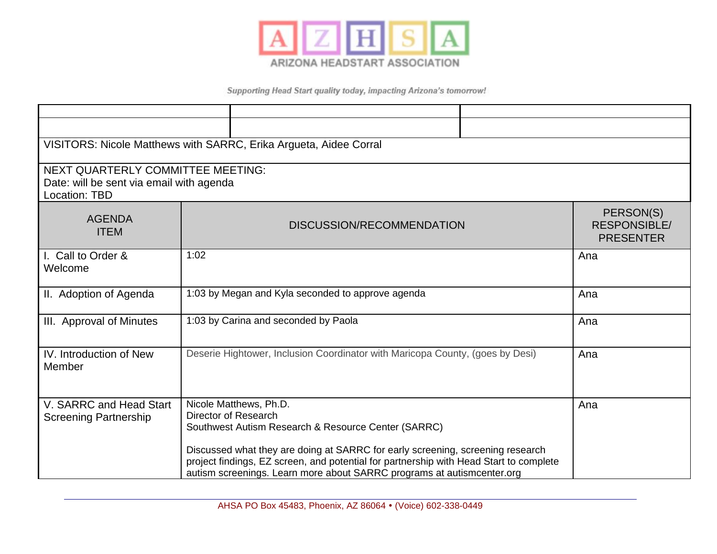

| VISITORS: Nicole Matthews with SARRC, Erika Argueta, Aidee Corral                              |                                                                                                                                                                                                                                                                                                                                                             |                                                      |  |  |  |
|------------------------------------------------------------------------------------------------|-------------------------------------------------------------------------------------------------------------------------------------------------------------------------------------------------------------------------------------------------------------------------------------------------------------------------------------------------------------|------------------------------------------------------|--|--|--|
| NEXT QUARTERLY COMMITTEE MEETING:<br>Date: will be sent via email with agenda<br>Location: TBD |                                                                                                                                                                                                                                                                                                                                                             |                                                      |  |  |  |
| <b>AGENDA</b><br><b>ITEM</b>                                                                   | DISCUSSION/RECOMMENDATION                                                                                                                                                                                                                                                                                                                                   | PERSON(S)<br><b>RESPONSIBLE/</b><br><b>PRESENTER</b> |  |  |  |
| I. Call to Order &<br>Welcome                                                                  | 1:02                                                                                                                                                                                                                                                                                                                                                        | Ana                                                  |  |  |  |
| II. Adoption of Agenda                                                                         | 1:03 by Megan and Kyla seconded to approve agenda                                                                                                                                                                                                                                                                                                           | Ana                                                  |  |  |  |
| III. Approval of Minutes                                                                       | 1:03 by Carina and seconded by Paola                                                                                                                                                                                                                                                                                                                        | Ana                                                  |  |  |  |
| IV. Introduction of New<br>Member                                                              | Deserie Hightower, Inclusion Coordinator with Maricopa County, (goes by Desi)                                                                                                                                                                                                                                                                               | Ana                                                  |  |  |  |
| V. SARRC and Head Start<br><b>Screening Partnership</b>                                        | Nicole Matthews, Ph.D.<br>Director of Research<br>Southwest Autism Research & Resource Center (SARRC)<br>Discussed what they are doing at SARRC for early screening, screening research<br>project findings, EZ screen, and potential for partnership with Head Start to complete<br>autism screenings. Learn more about SARRC programs at autismcenter.org | Ana                                                  |  |  |  |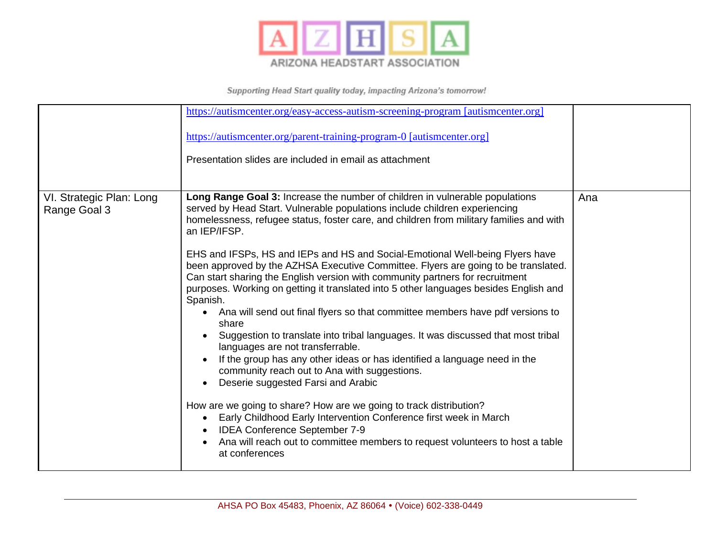

|                                          | https://autismcenter.org/easy-access-autism-screening-program [autismcenter.org]<br>https://autismcenter.org/parent-training-program-0 [autismcenter.org]<br>Presentation slides are included in email as attachment                                                                                                                                                                                                                                                                                                                                                                                                                                                                                                                                                                                                                                                                                                                                                                                                                                                                                                                                                                                                                                                                                                       |     |
|------------------------------------------|----------------------------------------------------------------------------------------------------------------------------------------------------------------------------------------------------------------------------------------------------------------------------------------------------------------------------------------------------------------------------------------------------------------------------------------------------------------------------------------------------------------------------------------------------------------------------------------------------------------------------------------------------------------------------------------------------------------------------------------------------------------------------------------------------------------------------------------------------------------------------------------------------------------------------------------------------------------------------------------------------------------------------------------------------------------------------------------------------------------------------------------------------------------------------------------------------------------------------------------------------------------------------------------------------------------------------|-----|
| VI. Strategic Plan: Long<br>Range Goal 3 | Long Range Goal 3: Increase the number of children in vulnerable populations<br>served by Head Start. Vulnerable populations include children experiencing<br>homelessness, refugee status, foster care, and children from military families and with<br>an IEP/IFSP.<br>EHS and IFSPs, HS and IEPs and HS and Social-Emotional Well-being Flyers have<br>been approved by the AZHSA Executive Committee. Flyers are going to be translated.<br>Can start sharing the English version with community partners for recruitment<br>purposes. Working on getting it translated into 5 other languages besides English and<br>Spanish.<br>Ana will send out final flyers so that committee members have pdf versions to<br>share<br>Suggestion to translate into tribal languages. It was discussed that most tribal<br>languages are not transferrable.<br>If the group has any other ideas or has identified a language need in the<br>community reach out to Ana with suggestions.<br>Deserie suggested Farsi and Arabic<br>How are we going to share? How are we going to track distribution?<br>Early Childhood Early Intervention Conference first week in March<br>$\bullet$<br><b>IDEA Conference September 7-9</b><br>Ana will reach out to committee members to request volunteers to host a table<br>at conferences | Ana |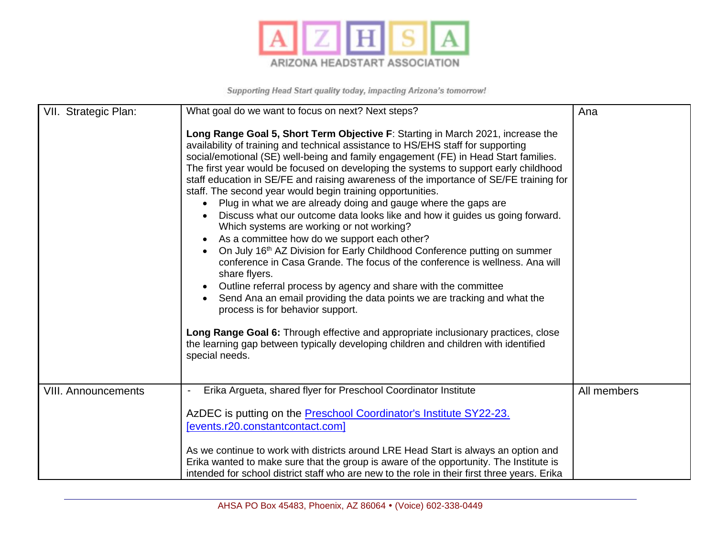

| VII. Strategic Plan:       | What goal do we want to focus on next? Next steps?                                                                                                                                                                                                                                                                                                                                                                                                                                                                                                                                                                                                                                                                                                                                                                                                                                                                                                                                                                                                                                                                                                                                                                                                                                                                                    | Ana         |
|----------------------------|---------------------------------------------------------------------------------------------------------------------------------------------------------------------------------------------------------------------------------------------------------------------------------------------------------------------------------------------------------------------------------------------------------------------------------------------------------------------------------------------------------------------------------------------------------------------------------------------------------------------------------------------------------------------------------------------------------------------------------------------------------------------------------------------------------------------------------------------------------------------------------------------------------------------------------------------------------------------------------------------------------------------------------------------------------------------------------------------------------------------------------------------------------------------------------------------------------------------------------------------------------------------------------------------------------------------------------------|-------------|
|                            | Long Range Goal 5, Short Term Objective F: Starting in March 2021, increase the<br>availability of training and technical assistance to HS/EHS staff for supporting<br>social/emotional (SE) well-being and family engagement (FE) in Head Start families.<br>The first year would be focused on developing the systems to support early childhood<br>staff education in SE/FE and raising awareness of the importance of SE/FE training for<br>staff. The second year would begin training opportunities.<br>Plug in what we are already doing and gauge where the gaps are<br>Discuss what our outcome data looks like and how it guides us going forward.<br>Which systems are working or not working?<br>As a committee how do we support each other?<br>On July 16 <sup>th</sup> AZ Division for Early Childhood Conference putting on summer<br>conference in Casa Grande. The focus of the conference is wellness. Ana will<br>share flyers.<br>Outline referral process by agency and share with the committee<br>Send Ana an email providing the data points we are tracking and what the<br>process is for behavior support.<br>Long Range Goal 6: Through effective and appropriate inclusionary practices, close<br>the learning gap between typically developing children and children with identified<br>special needs. |             |
| <b>VIII. Announcements</b> | Erika Argueta, shared flyer for Preschool Coordinator Institute                                                                                                                                                                                                                                                                                                                                                                                                                                                                                                                                                                                                                                                                                                                                                                                                                                                                                                                                                                                                                                                                                                                                                                                                                                                                       | All members |
|                            | AzDEC is putting on the <b>Preschool Coordinator's Institute SY22-23.</b>                                                                                                                                                                                                                                                                                                                                                                                                                                                                                                                                                                                                                                                                                                                                                                                                                                                                                                                                                                                                                                                                                                                                                                                                                                                             |             |
|                            | [events.r20.constantcontact.com]                                                                                                                                                                                                                                                                                                                                                                                                                                                                                                                                                                                                                                                                                                                                                                                                                                                                                                                                                                                                                                                                                                                                                                                                                                                                                                      |             |
|                            | As we continue to work with districts around LRE Head Start is always an option and                                                                                                                                                                                                                                                                                                                                                                                                                                                                                                                                                                                                                                                                                                                                                                                                                                                                                                                                                                                                                                                                                                                                                                                                                                                   |             |
|                            | Erika wanted to make sure that the group is aware of the opportunity. The Institute is<br>intended for school district staff who are new to the role in their first three years. Erika                                                                                                                                                                                                                                                                                                                                                                                                                                                                                                                                                                                                                                                                                                                                                                                                                                                                                                                                                                                                                                                                                                                                                |             |
|                            |                                                                                                                                                                                                                                                                                                                                                                                                                                                                                                                                                                                                                                                                                                                                                                                                                                                                                                                                                                                                                                                                                                                                                                                                                                                                                                                                       |             |